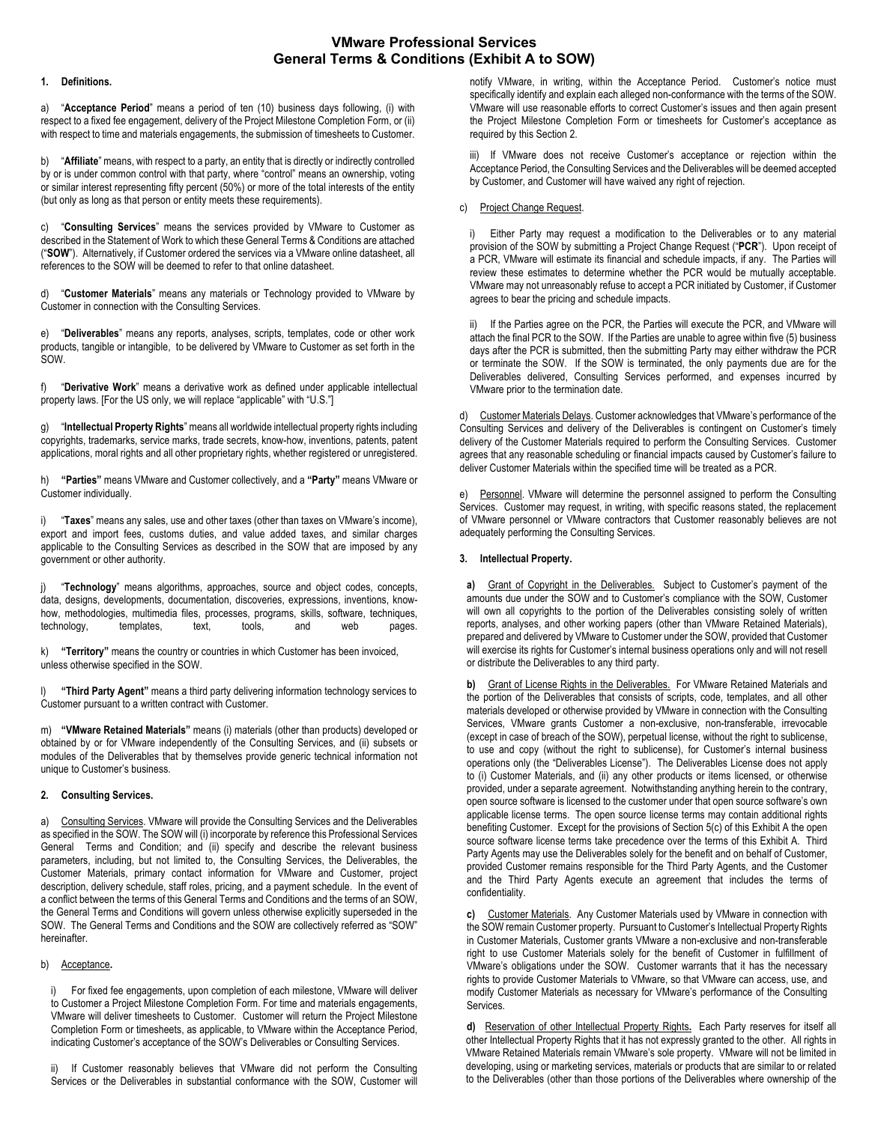# **VMware Professional Services General Terms & Conditions (Exhibit A to SOW)**

#### **1. Definitions.**

a) "**Acceptance Period**" means a period of ten (10) business days following, (i) with respect to a fixed fee engagement, delivery of the Project Milestone Completion Form, or (ii) with respect to time and materials engagements, the submission of timesheets to Customer.

b) "**Affiliate**" means, with respect to a party, an entity that is directly or indirectly controlled by or is under common control with that party, where "control" means an ownership, voting or similar interest representing fifty percent (50%) or more of the total interests of the entity (but only as long as that person or entity meets these requirements).

c) "**Consulting Services**" means the services provided by VMware to Customer as described in the Statement of Work to which these General Terms & Conditions are attached ("**SOW**"). Alternatively, if Customer ordered the services via a VMware online datasheet, all references to the SOW will be deemed to refer to that online datasheet.

d) "**Customer Materials**" means any materials or Technology provided to VMware by Customer in connection with the Consulting Services.

e) "**Deliverables**" means any reports, analyses, scripts, templates, code or other work products, tangible or intangible, to be delivered by VMware to Customer as set forth in the SOW.

f) "**Derivative Work**" means a derivative work as defined under applicable intellectual property laws. [For the US only, we will replace "applicable" with "U.S."]

g) "**Intellectual Property Rights**" means all worldwide intellectual property rights including copyrights, trademarks, service marks, trade secrets, know-how, inventions, patents, patent applications, moral rights and all other proprietary rights, whether registered or unregistered.

h) **"Parties"** means VMware and Customer collectively, and a **"Party"** means VMware or Customer individually.

i) "**Taxes**" means any sales, use and other taxes (other than taxes on VMware's income), export and import fees, customs duties, and value added taxes, and similar charges applicable to the Consulting Services as described in the SOW that are imposed by any government or other authority.

j) "**Technology**" means algorithms, approaches, source and object codes, concepts, data, designs, developments, documentation, discoveries, expressions, inventions, knowhow, methodologies, multimedia files, processes, programs, skills, software, techniques,<br>technology, intemplates, text, tools, and web pages. technology, templates, text, tools, and web pages.

k) **"Territory"** means the country or countries in which Customer has been invoiced, unless otherwise specified in the SOW.

l) **"Third Party Agent"** means a third party delivering information technology services to Customer pursuant to a written contract with Customer.

m) **"VMware Retained Materials"** means (i) materials (other than products) developed or obtained by or for VMware independently of the Consulting Services, and (ii) subsets or modules of the Deliverables that by themselves provide generic technical information not unique to Customer's business.

# **2. Consulting Services.**

a) Consulting Services. VMware will provide the Consulting Services and the Deliverables as specified in the SOW. The SOW will (i) incorporate by reference this Professional Services General Terms and Condition; and (ii) specify and describe the relevant business parameters, including, but not limited to, the Consulting Services, the Deliverables, the Customer Materials, primary contact information for VMware and Customer, project description, delivery schedule, staff roles, pricing, and a payment schedule. In the event of a conflict between the terms of this General Terms and Conditions and the terms of an SOW, the General Terms and Conditions will govern unless otherwise explicitly superseded in the SOW. The General Terms and Conditions and the SOW are collectively referred as "SOW" hereinafter.

# b) Acceptance**.**

For fixed fee engagements, upon completion of each milestone, VMware will deliver to Customer a Project Milestone Completion Form. For time and materials engagements, VMware will deliver timesheets to Customer. Customer will return the Project Milestone Completion Form or timesheets, as applicable, to VMware within the Acceptance Period, indicating Customer's acceptance of the SOW's Deliverables or Consulting Services.

ii) If Customer reasonably believes that VMware did not perform the Consulting Services or the Deliverables in substantial conformance with the SOW, Customer will

notify VMware, in writing, within the Acceptance Period. Customer's notice must specifically identify and explain each alleged non-conformance with the terms of the SOW. VMware will use reasonable efforts to correct Customer's issues and then again present the Project Milestone Completion Form or timesheets for Customer's acceptance as required by this Section 2.

iii) If VMware does not receive Customer's acceptance or rejection within the Acceptance Period, the Consulting Services and the Deliverables will be deemed accepted by Customer, and Customer will have waived any right of rejection.

## c) Project Change Request.

i) Either Party may request a modification to the Deliverables or to any material provision of the SOW by submitting a Project Change Request ("**PCR**"). Upon receipt of a PCR, VMware will estimate its financial and schedule impacts, if any. The Parties will review these estimates to determine whether the PCR would be mutually acceptable. VMware may not unreasonably refuse to accept a PCR initiated by Customer, if Customer agrees to bear the pricing and schedule impacts.

ii) If the Parties agree on the PCR, the Parties will execute the PCR, and VMware will attach the final PCR to the SOW. If the Parties are unable to agree within five (5) business days after the PCR is submitted, then the submitting Party may either withdraw the PCR or terminate the SOW. If the SOW is terminated, the only payments due are for the Deliverables delivered, Consulting Services performed, and expenses incurred by VMware prior to the termination date.

d) Customer Materials Delays. Customer acknowledges that VMware's performance of the Consulting Services and delivery of the Deliverables is contingent on Customer's timely delivery of the Customer Materials required to perform the Consulting Services. Customer agrees that any reasonable scheduling or financial impacts caused by Customer's failure to deliver Customer Materials within the specified time will be treated as a PCR.

e) Personnel. VMware will determine the personnel assigned to perform the Consulting Services. Customer may request, in writing, with specific reasons stated, the replacement of VMware personnel or VMware contractors that Customer reasonably believes are not adequately performing the Consulting Services.

## **3. Intellectual Property.**

**a)** Grant of Copyright in the Deliverables.Subject to Customer's payment of the amounts due under the SOW and to Customer's compliance with the SOW, Customer will own all copyrights to the portion of the Deliverables consisting solely of written reports, analyses, and other working papers (other than VMware Retained Materials), prepared and delivered by VMware to Customer under the SOW, provided that Customer will exercise its rights for Customer's internal business operations only and will not resell or distribute the Deliverables to any third party.

**b)** Grant of License Rights in the Deliverables.For VMware Retained Materials and the portion of the Deliverables that consists of scripts, code, templates, and all other materials developed or otherwise provided by VMware in connection with the Consulting Services, VMware grants Customer a non-exclusive, non-transferable, irrevocable (except in case of breach of the SOW), perpetual license, without the right to sublicense, to use and copy (without the right to sublicense), for Customer's internal business operations only (the "Deliverables License"). The Deliverables License does not apply to (i) Customer Materials, and (ii) any other products or items licensed, or otherwise provided, under a separate agreement. Notwithstanding anything herein to the contrary, open source software is licensed to the customer under that open source software's own applicable license terms. The open source license terms may contain additional rights benefiting Customer. Except for the provisions of Section 5(c) of this Exhibit A the open source software license terms take precedence over the terms of this Exhibit A. Third Party Agents may use the Deliverables solely for the benefit and on behalf of Customer, provided Customer remains responsible for the Third Party Agents, and the Customer and the Third Party Agents execute an agreement that includes the terms of confidentiality.

**c)** Customer Materials. Any Customer Materials used by VMware in connection with the SOW remain Customer property. Pursuant to Customer's Intellectual Property Rights in Customer Materials, Customer grants VMware a non-exclusive and non-transferable right to use Customer Materials solely for the benefit of Customer in fulfillment of VMware's obligations under the SOW. Customer warrants that it has the necessary rights to provide Customer Materials to VMware, so that VMware can access, use, and modify Customer Materials as necessary for VMware's performance of the Consulting **Services** 

**d)** Reservation of other Intellectual Property Rights**.** Each Party reserves for itself all other Intellectual Property Rights that it has not expressly granted to the other. All rights in VMware Retained Materials remain VMware's sole property. VMware will not be limited in developing, using or marketing services, materials or products that are similar to or related to the Deliverables (other than those portions of the Deliverables where ownership of the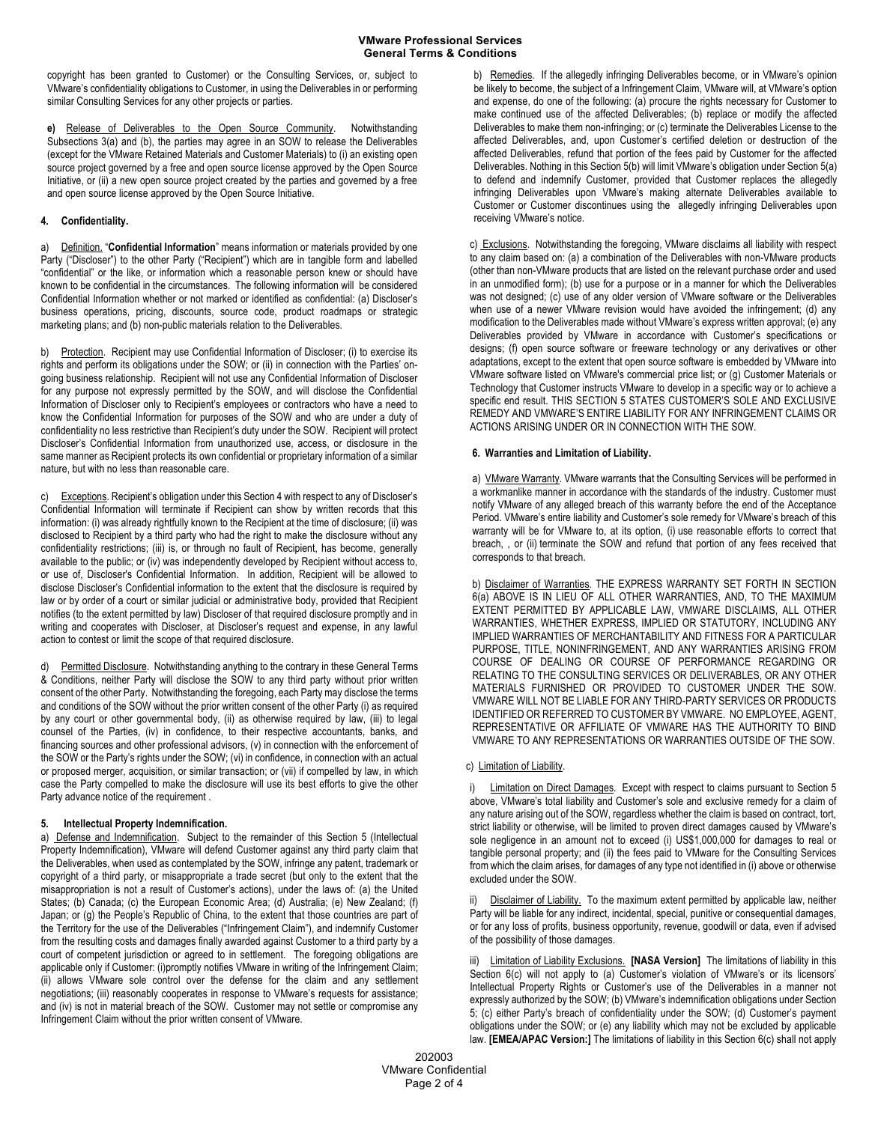copyright has been granted to Customer) or the Consulting Services, or, subject to VMware's confidentiality obligations to Customer, in using the Deliverables in or performing similar Consulting Services for any other projects or parties.

**e)** Release of Deliverables to the Open Source Community. Notwithstanding Subsections 3(a) and (b), the parties may agree in an SOW to release the Deliverables (except for the VMware Retained Materials and Customer Materials) to (i) an existing open source project governed by a free and open source license approved by the Open Source Initiative, or (ii) a new open source project created by the parties and governed by a free and open source license approved by the Open Source Initiative.

## **4. Confidentiality.**

a) Definition. "**Confidential Information**" means information or materials provided by one Party ("Discloser") to the other Party ("Recipient") which are in tangible form and labelled "confidential" or the like, or information which a reasonable person knew or should have known to be confidential in the circumstances. The following information will be considered Confidential Information whether or not marked or identified as confidential: (a) Discloser's business operations, pricing, discounts, source code, product roadmaps or strategic marketing plans; and (b) non-public materials relation to the Deliverables.

b) Protection. Recipient may use Confidential Information of Discloser; (i) to exercise its rights and perform its obligations under the SOW; or (ii) in connection with the Parties' ongoing business relationship. Recipient will not use any Confidential Information of Discloser for any purpose not expressly permitted by the SOW, and will disclose the Confidential Information of Discloser only to Recipient's employees or contractors who have a need to know the Confidential Information for purposes of the SOW and who are under a duty of confidentiality no less restrictive than Recipient's duty under the SOW. Recipient will protect Discloser's Confidential Information from unauthorized use, access, or disclosure in the same manner as Recipient protects its own confidential or proprietary information of a similar nature, but with no less than reasonable care.

c) Exceptions. Recipient's obligation under this Section 4 with respect to any of Discloser's Confidential Information will terminate if Recipient can show by written records that this information: (i) was already rightfully known to the Recipient at the time of disclosure; (ii) was disclosed to Recipient by a third party who had the right to make the disclosure without any confidentiality restrictions; (iii) is, or through no fault of Recipient, has become, generally available to the public; or (iv) was independently developed by Recipient without access to, or use of, Discloser's Confidential Information. In addition, Recipient will be allowed to disclose Discloser's Confidential information to the extent that the disclosure is required by law or by order of a court or similar judicial or administrative body, provided that Recipient notifies (to the extent permitted by law) Discloser of that required disclosure promptly and in writing and cooperates with Discloser, at Discloser's request and expense, in any lawful action to contest or limit the scope of that required disclosure.

d) Permitted Disclosure. Notwithstanding anything to the contrary in these General Terms & Conditions, neither Party will disclose the SOW to any third party without prior written consent of the other Party. Notwithstanding the foregoing, each Party may disclose the terms and conditions of the SOW without the prior written consent of the other Party (i) as required by any court or other governmental body, (ii) as otherwise required by law, (iii) to legal counsel of the Parties, (iv) in confidence, to their respective accountants, banks, and financing sources and other professional advisors, (v) in connection with the enforcement of the SOW or the Party's rights under the SOW; (vi) in confidence, in connection with an actual or proposed merger, acquisition, or similar transaction; or (vii) if compelled by law, in which case the Party compelled to make the disclosure will use its best efforts to give the other Party advance notice of the requirement .

## **5. Intellectual Property Indemnification.**

a) Defense and Indemnification. Subject to the remainder of this Section 5 (Intellectual Property Indemnification), VMware will defend Customer against any third party claim that the Deliverables, when used as contemplated by the SOW, infringe any patent, trademark or copyright of a third party, or misappropriate a trade secret (but only to the extent that the misappropriation is not a result of Customer's actions), under the laws of: (a) the United States; (b) Canada; (c) the European Economic Area; (d) Australia; (e) New Zealand; (f) Japan; or (g) the People's Republic of China, to the extent that those countries are part of the Territory for the use of the Deliverables ("Infringement Claim"), and indemnify Customer from the resulting costs and damages finally awarded against Customer to a third party by a court of competent jurisdiction or agreed to in settlement. The foregoing obligations are applicable only if Customer: (i)promptly notifies VMware in writing of the Infringement Claim; (ii) allows VMware sole control over the defense for the claim and any settlement negotiations; (iii) reasonably cooperates in response to VMware's requests for assistance; and (iv) is not in material breach of the SOW. Customer may not settle or compromise any Infringement Claim without the prior written consent of VMware.

b) Remedies. If the allegedly infringing Deliverables become, or in VMware's opinion be likely to become, the subject of a Infringement Claim, VMware will, at VMware's option and expense, do one of the following: (a) procure the rights necessary for Customer to make continued use of the affected Deliverables; (b) replace or modify the affected Deliverables to make them non-infringing; or (c) terminate the Deliverables License to the affected Deliverables, and, upon Customer's certified deletion or destruction of the affected Deliverables, refund that portion of the fees paid by Customer for the affected Deliverables. Nothing in this Section 5(b) will limit VMware's obligation under Section 5(a) to defend and indemnify Customer, provided that Customer replaces the allegedly infringing Deliverables upon VMware's making alternate Deliverables available to Customer or Customer discontinues using the allegedly infringing Deliverables upon receiving VMware's notice.

c) Exclusions. Notwithstanding the foregoing, VMware disclaims all liability with respect to any claim based on: (a) a combination of the Deliverables with non-VMware products (other than non-VMware products that are listed on the relevant purchase order and used in an unmodified form); (b) use for a purpose or in a manner for which the Deliverables was not designed; (c) use of any older version of VMware software or the Deliverables when use of a newer VMware revision would have avoided the infringement; (d) any modification to the Deliverables made without VMware's express written approval; (e) any Deliverables provided by VMware in accordance with Customer's specifications or designs; (f) open source software or freeware technology or any derivatives or other adaptations, except to the extent that open source software is embedded by VMware into VMware software listed on VMware's commercial price list; or (g) Customer Materials or Technology that Customer instructs VMware to develop in a specific way or to achieve a specific end result. THIS SECTION 5 STATES CUSTOMER'S SOLE AND EXCLUSIVE REMEDY AND VMWARE'S ENTIRE LIABILITY FOR ANY INFRINGEMENT CLAIMS OR ACTIONS ARISING UNDER OR IN CONNECTION WITH THE SOW.

#### **6. Warranties and Limitation of Liability.**

a) VMware Warranty. VMware warrants that the Consulting Services will be performed in a workmanlike manner in accordance with the standards of the industry. Customer must notify VMware of any alleged breach of this warranty before the end of the Acceptance Period. VMware's entire liability and Customer's sole remedy for VMware's breach of this warranty will be for VMware to, at its option, (i) use reasonable efforts to correct that breach, , or (ii) terminate the SOW and refund that portion of any fees received that corresponds to that breach.

b) Disclaimer of Warranties. THE EXPRESS WARRANTY SET FORTH IN SECTION 6(a) ABOVE IS IN LIEU OF ALL OTHER WARRANTIES, AND, TO THE MAXIMUM EXTENT PERMITTED BY APPLICABLE LAW, VMWARE DISCLAIMS, ALL OTHER WARRANTIES, WHETHER EXPRESS, IMPLIED OR STATUTORY, INCLUDING ANY IMPLIED WARRANTIES OF MERCHANTABILITY AND FITNESS FOR A PARTICULAR PURPOSE, TITLE, NONINFRINGEMENT, AND ANY WARRANTIES ARISING FROM COURSE OF DEALING OR COURSE OF PERFORMANCE REGARDING OR RELATING TO THE CONSULTING SERVICES OR DELIVERABLES, OR ANY OTHER MATERIALS FURNISHED OR PROVIDED TO CUSTOMER UNDER THE SOW. VMWARE WILL NOT BE LIABLE FOR ANY THIRD-PARTY SERVICES OR PRODUCTS IDENTIFIED OR REFERRED TO CUSTOMER BY VMWARE. NO EMPLOYEE, AGENT, REPRESENTATIVE OR AFFILIATE OF VMWARE HAS THE AUTHORITY TO BIND VMWARE TO ANY REPRESENTATIONS OR WARRANTIES OUTSIDE OF THE SOW.

#### c) Limitation of Liability.

Limitation on Direct Damages. Except with respect to claims pursuant to Section 5 above, VMware's total liability and Customer's sole and exclusive remedy for a claim of any nature arising out of the SOW, regardless whether the claim is based on contract, tort, strict liability or otherwise, will be limited to proven direct damages caused by VMware's sole negligence in an amount not to exceed (i) US\$1,000,000 for damages to real or tangible personal property; and (ii) the fees paid to VMware for the Consulting Services from which the claim arises, for damages of any type not identified in (i) above or otherwise excluded under the SOW.

Disclaimer of Liability. To the maximum extent permitted by applicable law, neither Party will be liable for any indirect, incidental, special, punitive or consequential damages, or for any loss of profits, business opportunity, revenue, goodwill or data, even if advised of the possibility of those damages.

iii) Limitation of Liability Exclusions. **[NASA Version]** The limitations of liability in this Section 6(c) will not apply to (a) Customer's violation of VMware's or its licensors' Intellectual Property Rights or Customer's use of the Deliverables in a manner not expressly authorized by the SOW; (b) VMware's indemnification obligations under Section 5; (c) either Party's breach of confidentiality under the SOW; (d) Customer's payment obligations under the SOW; or (e) any liability which may not be excluded by applicable law. **[EMEA/APAC Version:]** The limitations of liability in this Section 6(c) shall not apply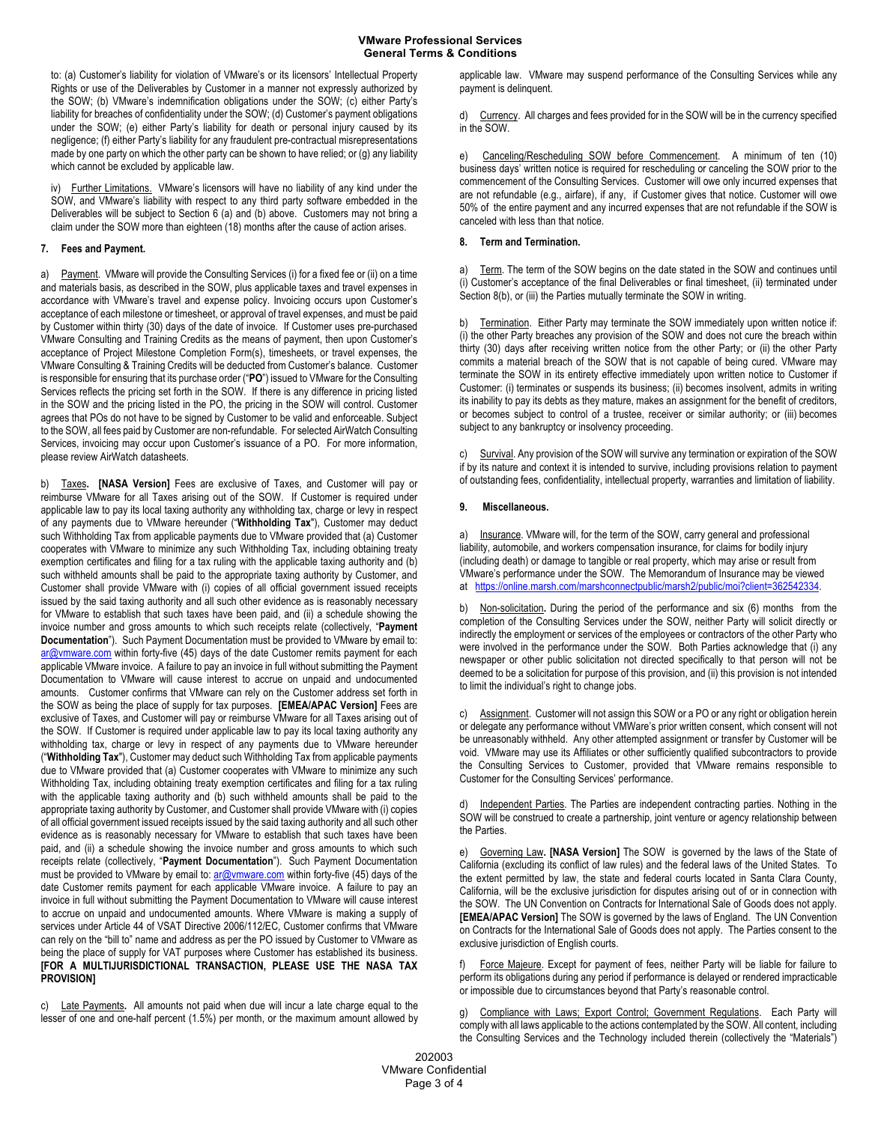to: (a) Customer's liability for violation of VMware's or its licensors' Intellectual Property Rights or use of the Deliverables by Customer in a manner not expressly authorized by the SOW; (b) VMware's indemnification obligations under the SOW; (c) either Party's liability for breaches of confidentiality under the SOW; (d) Customer's payment obligations under the SOW; (e) either Party's liability for death or personal injury caused by its negligence; (f) either Party's liability for any fraudulent pre-contractual misrepresentations made by one party on which the other party can be shown to have relied; or (g) any liability which cannot be excluded by applicable law.

iv) Further Limitations. VMware's licensors will have no liability of any kind under the SOW, and VMware's liability with respect to any third party software embedded in the Deliverables will be subject to Section 6 (a) and (b) above. Customers may not bring a claim under the SOW more than eighteen (18) months after the cause of action arises.

#### **7. Fees and Payment.**

a) Payment. VMware will provide the Consulting Services (i) for a fixed fee or (ii) on a time and materials basis, as described in the SOW, plus applicable taxes and travel expenses in accordance with VMware's travel and expense policy. Invoicing occurs upon Customer's acceptance of each milestone or timesheet, or approval of travel expenses, and must be paid by Customer within thirty (30) days of the date of invoice. If Customer uses pre-purchased VMware Consulting and Training Credits as the means of payment, then upon Customer's acceptance of Project Milestone Completion Form(s), timesheets, or travel expenses, the VMware Consulting & Training Credits will be deducted from Customer's balance. Customer is responsible for ensuring that its purchase order ("**PO**") issued to VMware for the Consulting Services reflects the pricing set forth in the SOW. If there is any difference in pricing listed in the SOW and the pricing listed in the PO, the pricing in the SOW will control. Customer agrees that POs do not have to be signed by Customer to be valid and enforceable. Subject to the SOW, all fees paid by Customer are non-refundable. For selected AirWatch Consulting Services, invoicing may occur upon Customer's issuance of a PO. For more information, please review AirWatch datasheets.

b) Taxes**. [NASA Version]** Fees are exclusive of Taxes, and Customer will pay or reimburse VMware for all Taxes arising out of the SOW. If Customer is required under applicable law to pay its local taxing authority any withholding tax, charge or levy in respect of any payments due to VMware hereunder ("**Withholding Tax**"), Customer may deduct such Withholding Tax from applicable payments due to VMware provided that (a) Customer cooperates with VMware to minimize any such Withholding Tax, including obtaining treaty exemption certificates and filing for a tax ruling with the applicable taxing authority and (b) such withheld amounts shall be paid to the appropriate taxing authority by Customer, and Customer shall provide VMware with (i) copies of all official government issued receipts issued by the said taxing authority and all such other evidence as is reasonably necessary for VMware to establish that such taxes have been paid, and (ii) a schedule showing the invoice number and gross amounts to which such receipts relate (collectively, "**Payment Documentation**"). Such Payment Documentation must be provided to VMware by email to: ar@vmware.com within forty-five (45) days of the date Customer remits payment for each applicable VMware invoice. A failure to pay an invoice in full without submitting the Payment Documentation to VMware will cause interest to accrue on unpaid and undocumented amounts. Customer confirms that VMware can rely on the Customer address set forth in the SOW as being the place of supply for tax purposes. **[EMEA/APAC Version]** Fees are exclusive of Taxes, and Customer will pay or reimburse VMware for all Taxes arising out of the SOW. If Customer is required under applicable law to pay its local taxing authority any withholding tax, charge or levy in respect of any payments due to VMware hereunder ("**Withholding Tax**"), Customer may deduct such Withholding Tax from applicable payments due to VMware provided that (a) Customer cooperates with VMware to minimize any such Withholding Tax, including obtaining treaty exemption certificates and filing for a tax ruling with the applicable taxing authority and (b) such withheld amounts shall be paid to the appropriate taxing authority by Customer, and Customer shall provide VMware with (i) copies of all official government issued receipts issued by the said taxing authority and all such other evidence as is reasonably necessary for VMware to establish that such taxes have been paid, and (ii) a schedule showing the invoice number and gross amounts to which such receipts relate (collectively, "**Payment Documentation**"). Such Payment Documentation must be provided to VMware by email to: ar@vmware.com within forty-five (45) days of the date Customer remits payment for each applicable VMware invoice. A failure to pay an invoice in full without submitting the Payment Documentation to VMware will cause interest to accrue on unpaid and undocumented amounts. Where VMware is making a supply of services under Article 44 of VSAT Directive 2006/112/EC, Customer confirms that VMware can rely on the "bill to" name and address as per the PO issued by Customer to VMware as being the place of supply for VAT purposes where Customer has established its business. **[FOR A MULTIJURISDICTIONAL TRANSACTION, PLEASE USE THE NASA TAX PROVISION]**

c) Late Payments**.** All amounts not paid when due will incur a late charge equal to the lesser of one and one-half percent (1.5%) per month, or the maximum amount allowed by applicable law. VMware may suspend performance of the Consulting Services while any payment is delinquent.

d) Currency. All charges and fees provided for in the SOW will be in the currency specified in the SOW.

e) Canceling/Rescheduling SOW before Commencement. A minimum of ten (10) business days' written notice is required for rescheduling or canceling the SOW prior to the commencement of the Consulting Services. Customer will owe only incurred expenses that are not refundable (e.g., airfare), if any, if Customer gives that notice. Customer will owe 50% of the entire payment and any incurred expenses that are not refundable if the SOW is canceled with less than that notice.

#### **8. Term and Termination.**

a) Term. The term of the SOW begins on the date stated in the SOW and continues until (i) Customer's acceptance of the final Deliverables or final timesheet, (ii) terminated under Section 8(b), or (iii) the Parties mutually terminate the SOW in writing.

b) Termination. Either Party may terminate the SOW immediately upon written notice if: (i) the other Party breaches any provision of the SOW and does not cure the breach within thirty (30) days after receiving written notice from the other Party; or (ii) the other Party commits a material breach of the SOW that is not capable of being cured. VMware may terminate the SOW in its entirety effective immediately upon written notice to Customer if Customer: (i) terminates or suspends its business; (ii) becomes insolvent, admits in writing its inability to pay its debts as they mature, makes an assignment for the benefit of creditors, or becomes subject to control of a trustee, receiver or similar authority; or (iii) becomes subject to any bankruptcy or insolvency proceeding.

c) Survival. Any provision of the SOW will survive any termination or expiration of the SOW if by its nature and context it is intended to survive, including provisions relation to payment of outstanding fees, confidentiality, intellectual property, warranties and limitation of liability.

#### **9. Miscellaneous.**

Insurance. VMware will, for the term of the SOW, carry general and professional liability, automobile, and workers compensation insurance, for claims for bodily injury (including death) or damage to tangible or real property, which may arise or result from VMware's performance under the SOW. The Memorandum of Insurance may be viewed at https://online.marsh.com/marshconnectpublic/marsh2/public/moi?client=362542334.

b) Non-solicitation**.** During the period of the performance and six (6) months from the completion of the Consulting Services under the SOW, neither Party will solicit directly or indirectly the employment or services of the employees or contractors of the other Party who were involved in the performance under the SOW. Both Parties acknowledge that (i) any newspaper or other public solicitation not directed specifically to that person will not be deemed to be a solicitation for purpose of this provision, and (ii) this provision is not intended to limit the individual's right to change jobs.

c) Assignment. Customer will not assign this SOW or a PO or any right or obligation herein or delegate any performance without VMWare's prior written consent, which consent will not be unreasonably withheld. Any other attempted assignment or transfer by Customer will be void. VMware may use its Affiliates or other sufficiently qualified subcontractors to provide the Consulting Services to Customer, provided that VMware remains responsible to Customer for the Consulting Services' performance.

Independent Parties. The Parties are independent contracting parties. Nothing in the SOW will be construed to create a partnership, joint venture or agency relationship between the Parties.

Governing Law. **[NASA Version]** The SOW is governed by the laws of the State of California (excluding its conflict of law rules) and the federal laws of the United States. To the extent permitted by law, the state and federal courts located in Santa Clara County, California, will be the exclusive jurisdiction for disputes arising out of or in connection with the SOW. The UN Convention on Contracts for International Sale of Goods does not apply. **[EMEA/APAC Version]** The SOW is governed by the laws of England. The UN Convention on Contracts for the International Sale of Goods does not apply. The Parties consent to the exclusive jurisdiction of English courts.

Force Majeure. Except for payment of fees, neither Party will be liable for failure to perform its obligations during any period if performance is delayed or rendered impracticable or impossible due to circumstances beyond that Party's reasonable control.

Compliance with Laws; Export Control; Government Regulations. Each Party will comply with all laws applicable to the actions contemplated by the SOW. All content, including the Consulting Services and the Technology included therein (collectively the "Materials")